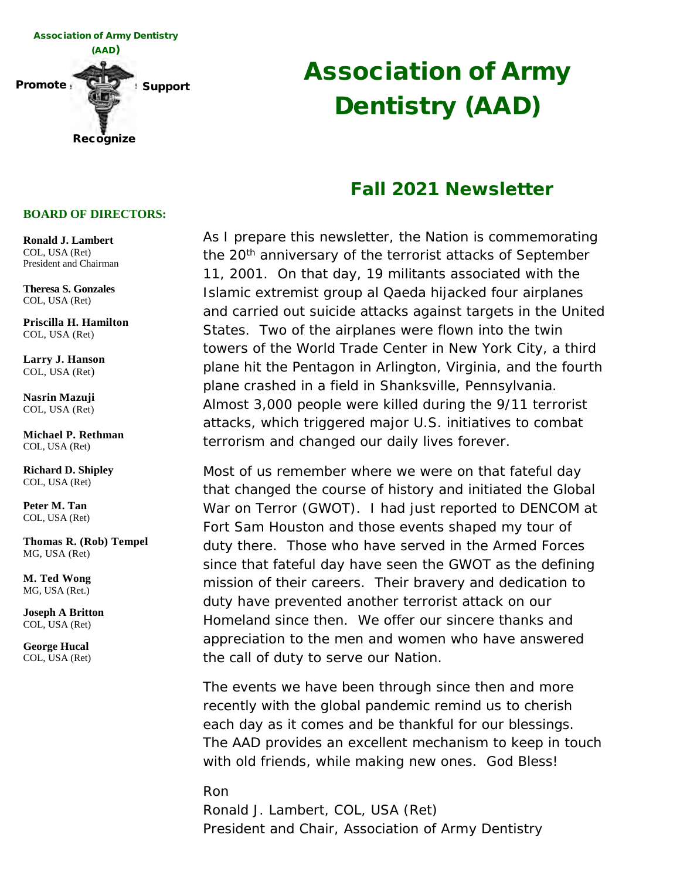

# Association of Army Dentistry (AAD)

#### Fall 2021 Newsletter

As I prepare this newsletter, the Nation is commemorating the 20<sup>th</sup> anniversary of the terrorist attacks of September 11, 2001. On that day, 19 militants associated with the Islamic extremist group al Qaeda hijacked four airplanes and carried out suicide attacks against targets in the United States. Two of the airplanes were flown into the twin towers of the World Trade Center in New York City, a third plane hit the Pentagon in Arlington, Virginia, and the fourth plane crashed in a field in Shanksville, Pennsylvania. Almost 3,000 people were killed during the 9/11 terrorist attacks, which triggered major U.S. initiatives to combat terrorism and changed our daily lives forever.

Most of us remember where we were on that fateful day that changed the course of history and initiated the Global War on Terror (GWOT). I had just reported to DENCOM at Fort Sam Houston and those events shaped my tour of duty there. Those who have served in the Armed Forces since that fateful day have seen the GWOT as the defining mission of their careers. Their bravery and dedication to duty have prevented another terrorist attack on our Homeland since then. We offer our sincere thanks and appreciation to the men and women who have answered the call of duty to serve our Nation.

The events we have been through since then and more recently with the global pandemic remind us to cherish each day as it comes and be thankful for our blessings. The AAD provides an excellent mechanism to keep in touch with old friends, while making new ones. God Bless!

Ron Ronald J. Lambert, COL, USA (Ret) President and Chair, Association of Army Dentistry

#### **BOARD OF DIRECTORS:**

**Ronald J. Lambert**  COL, USA (Ret) President and Chairman

**Theresa S. Gonzales** COL, USA (Ret)

**Priscilla H. Hamilton**  COL, USA (Ret)

**Larry J. Hanson**  COL, USA (Ret)

**Nasrin Mazuji**  COL, USA (Ret)

**Michael P. Rethman** COL, USA (Ret)

**Richard D. Shipley** COL, USA (Ret)

**Peter M. Tan** COL, USA (Ret)

**Thomas R. (Rob) Tempel**  MG, USA (Ret)

**M. Ted Wong**  MG, USA (Ret.)

**Joseph A Britton**  COL, USA (Ret)

**George Hucal** COL, USA (Ret)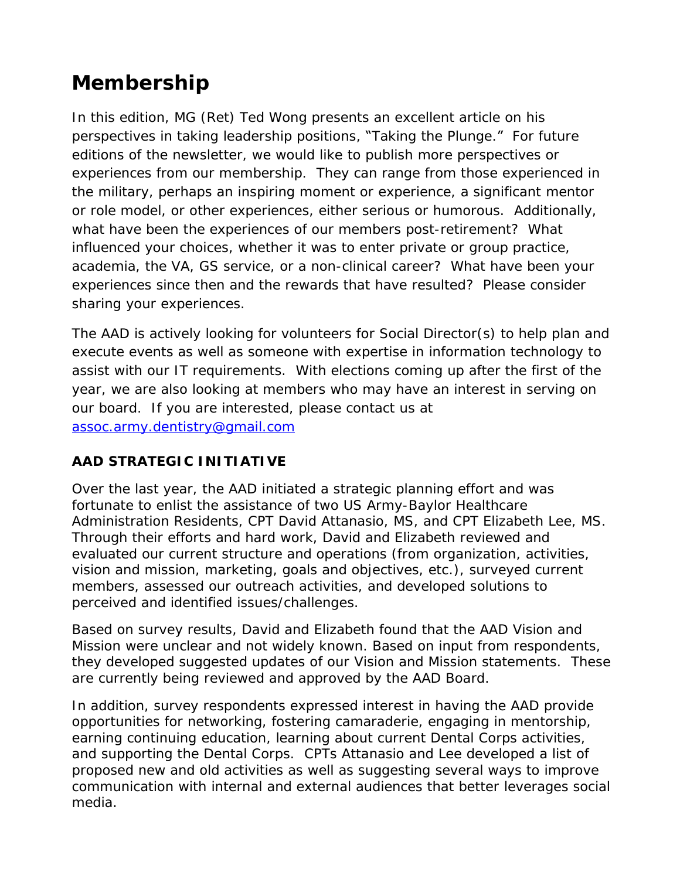### **Membership**

In this edition, MG (Ret) Ted Wong presents an excellent article on his perspectives in taking leadership positions, "Taking the Plunge." For future editions of the newsletter, we would like to publish more perspectives or experiences from our membership. They can range from those experienced in the military, perhaps an inspiring moment or experience, a significant mentor or role model, or other experiences, either serious or humorous. Additionally, what have been the experiences of our members post-retirement? What influenced your choices, whether it was to enter private or group practice, academia, the VA, GS service, or a non-clinical career? What have been your experiences since then and the rewards that have resulted? Please consider sharing your experiences.

The AAD is actively looking for volunteers for Social Director(s) to help plan and execute events as well as someone with expertise in information technology to assist with our IT requirements. With elections coming up after the first of the year, we are also looking at members who may have an interest in serving on our board. If you are interested, please contact us at [assoc.army.dentistry@gmail.com](mailto:assoc.army.dentistry@gmail.com) 

#### **AAD STRATEGIC INITIATIVE**

Over the last year, the AAD initiated a strategic planning effort and was fortunate to enlist the assistance of two US Army-Baylor Healthcare Administration Residents, CPT David Attanasio, MS, and CPT Elizabeth Lee, MS. Through their efforts and hard work, David and Elizabeth reviewed and evaluated our current structure and operations (from organization, activities, vision and mission, marketing, goals and objectives, etc.), surveyed current members, assessed our outreach activities, and developed solutions to perceived and identified issues/challenges.

Based on survey results, David and Elizabeth found that the AAD Vision and Mission were unclear and not widely known. Based on input from respondents, they developed suggested updates of our Vision and Mission statements. These are currently being reviewed and approved by the AAD Board.

In addition, survey respondents expressed interest in having the AAD provide opportunities for networking, fostering camaraderie, engaging in mentorship, earning continuing education, learning about current Dental Corps activities, and supporting the Dental Corps. CPTs Attanasio and Lee developed a list of proposed new and old activities as well as suggesting several ways to improve communication with internal and external audiences that better leverages social media.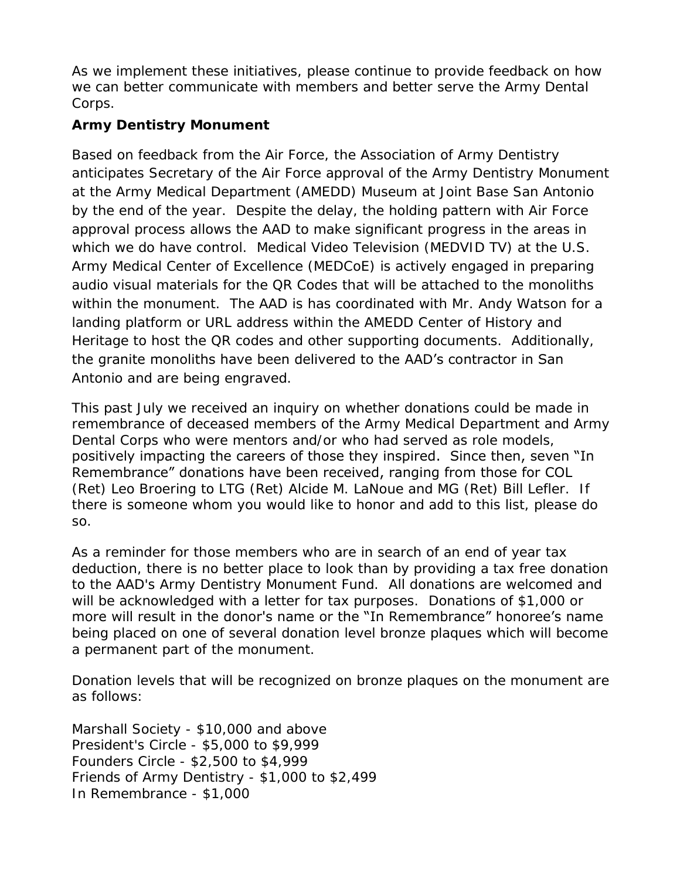As we implement these initiatives, please continue to provide feedback on how we can better communicate with members and better serve the Army Dental Corps.

**Army Dentistry Monument** 

Based on feedback from the Air Force, the Association of Army Dentistry anticipates Secretary of the Air Force approval of the Army Dentistry Monument at the Army Medical Department (AMEDD) Museum at Joint Base San Antonio by the end of the year. Despite the delay, the holding pattern with Air Force approval process allows the AAD to make significant progress in the areas in which we do have control. Medical Video Television (MEDVID TV) at the U.S. Army Medical Center of Excellence (MEDCoE) is actively engaged in preparing audio visual materials for the QR Codes that will be attached to the monoliths within the monument. The AAD is has coordinated with Mr. Andy Watson for a landing platform or URL address within the AMEDD Center of History and Heritage to host the QR codes and other supporting documents. Additionally, the granite monoliths have been delivered to the AAD's contractor in San Antonio and are being engraved.

This past July we received an inquiry on whether donations could be made in remembrance of deceased members of the Army Medical Department and Army Dental Corps who were mentors and/or who had served as role models, positively impacting the careers of those they inspired. Since then, seven "In Remembrance" donations have been received, ranging from those for COL (Ret) Leo Broering to LTG (Ret) Alcide M. LaNoue and MG (Ret) Bill Lefler. If there is someone whom you would like to honor and add to this list, please do so.

As a reminder for those members who are in search of an end of year tax deduction, there is no better place to look than by providing a tax free donation to the AAD's Army Dentistry Monument Fund. All donations are welcomed and will be acknowledged with a letter for tax purposes. Donations of \$1,000 or more will result in the donor's name or the "In Remembrance" honoree's name being placed on one of several donation level bronze plaques which will become a permanent part of the monument.

Donation levels that will be recognized on bronze plaques on the monument are as follows:

Marshall Society - \$10,000 and above President's Circle - \$5,000 to \$9,999 Founders Circle - \$2,500 to \$4,999 Friends of Army Dentistry - \$1,000 to \$2,499 In Remembrance - \$1,000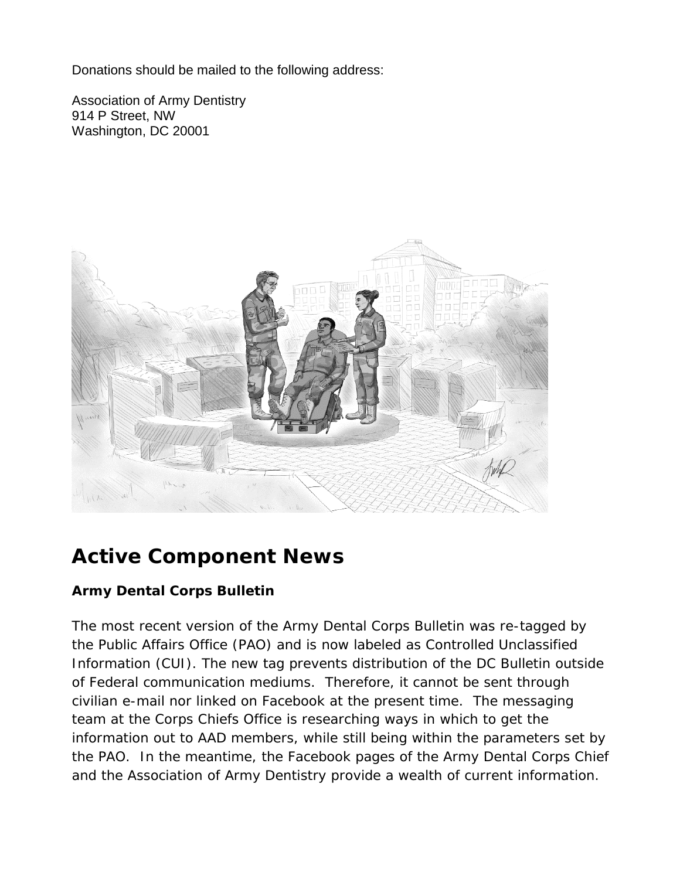Donations should be mailed to the following address:

Association of Army Dentistry 914 P Street, NW Washington, DC 20001



### **Active Component News**

#### **Army Dental Corps Bulletin**

The most recent version of the Army Dental Corps Bulletin was re-tagged by the Public Affairs Office (PAO) and is now labeled as Controlled Unclassified Information (CUI). The new tag prevents distribution of the DC Bulletin outside of Federal communication mediums. Therefore, it cannot be sent through civilian e-mail nor linked on Facebook at the present time. The messaging team at the Corps Chiefs Office is researching ways in which to get the information out to AAD members, while still being within the parameters set by the PAO. In the meantime, the Facebook pages of the Army Dental Corps Chief and the Association of Army Dentistry provide a wealth of current information.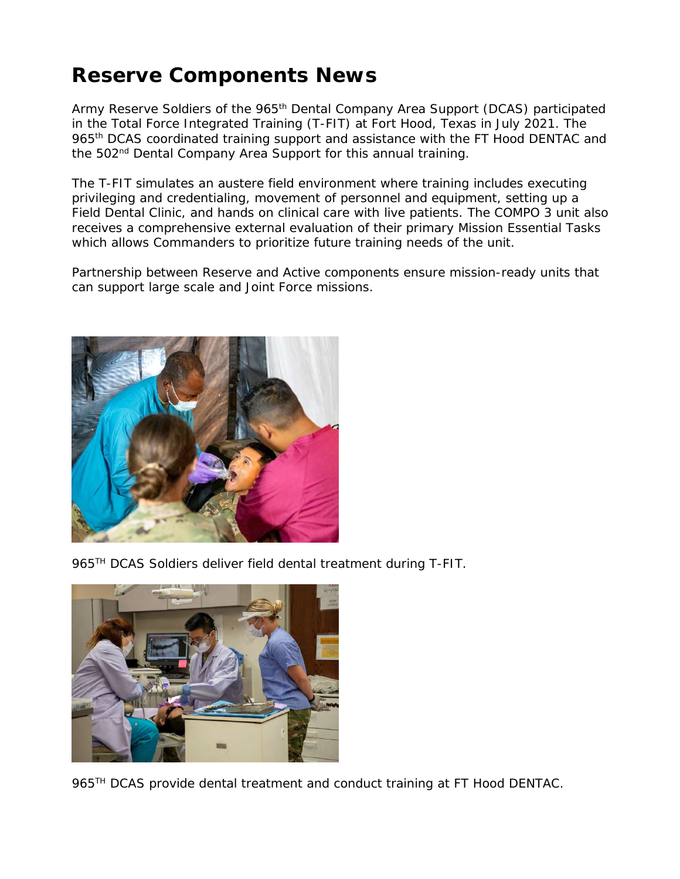#### **Reserve Components News**

Army Reserve Soldiers of the 965<sup>th</sup> Dental Company Area Support (DCAS) participated in the Total Force Integrated Training (T-FIT) at Fort Hood, Texas in July 2021. The 965<sup>th</sup> DCAS coordinated training support and assistance with the FT Hood DENTAC and the 502<sup>nd</sup> Dental Company Area Support for this annual training.

The T-FIT simulates an austere field environment where training includes executing privileging and credentialing, movement of personnel and equipment, setting up a Field Dental Clinic, and hands on clinical care with live patients. The COMPO 3 unit also receives a comprehensive external evaluation of their primary Mission Essential Tasks which allows Commanders to prioritize future training needs of the unit.

Partnership between Reserve and Active components ensure mission-ready units that can support large scale and Joint Force missions.



965TH DCAS Soldiers deliver field dental treatment during T-FIT.



965<sup>TH</sup> DCAS provide dental treatment and conduct training at FT Hood DENTAC.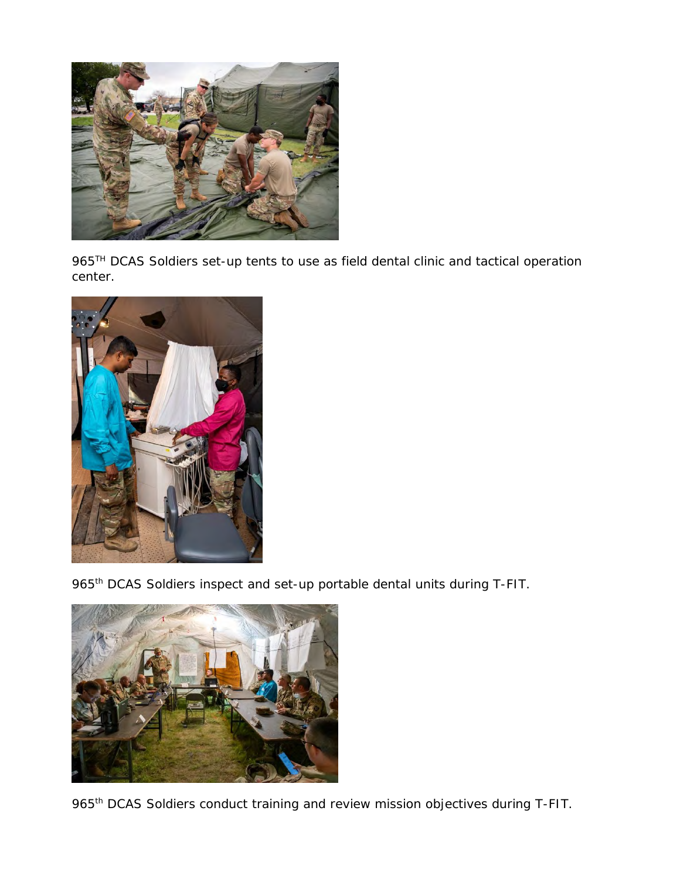

965<sup>TH</sup> DCAS Soldiers set-up tents to use as field dental clinic and tactical operation center.



965<sup>th</sup> DCAS Soldiers inspect and set-up portable dental units during T-FIT.



965<sup>th</sup> DCAS Soldiers conduct training and review mission objectives during T-FIT.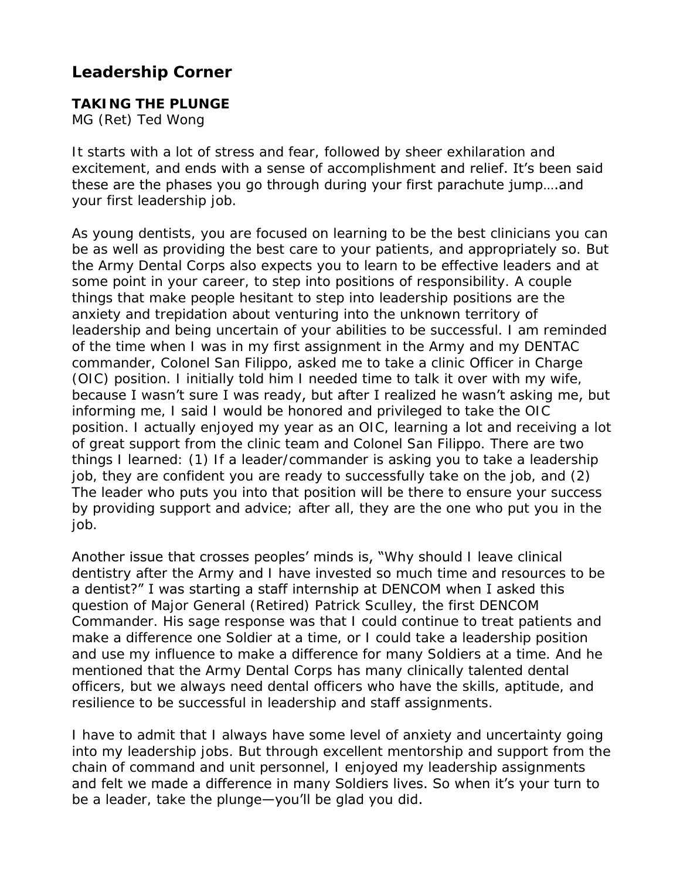**Leadership Corner**

**TAKING THE PLUNGE**  MG (Ret) Ted Wong

It starts with a lot of stress and fear, followed by sheer exhilaration and excitement, and ends with a sense of accomplishment and relief. It's been said these are the phases you go through during your first parachute jump….and your first leadership job.

As young dentists, you are focused on learning to be the best clinicians you can be as well as providing the best care to your patients, and appropriately so. But the Army Dental Corps also expects you to learn to be effective leaders and at some point in your career, to step into positions of responsibility. A couple things that make people hesitant to step into leadership positions are the anxiety and trepidation about venturing into the unknown territory of leadership and being uncertain of your abilities to be successful. I am reminded of the time when I was in my first assignment in the Army and my DENTAC commander, Colonel San Filippo, asked me to take a clinic Officer in Charge (OIC) position. I initially told him I needed time to talk it over with my wife, because I wasn't sure I was ready, but after I realized he wasn't asking me, but informing me, I said I would be honored and privileged to take the OIC position. I actually enjoyed my year as an OIC, learning a lot and receiving a lot of great support from the clinic team and Colonel San Filippo. There are two things I learned: (1) If a leader/commander is asking you to take a leadership job, they are confident you are ready to successfully take on the job, and (2) The leader who puts you into that position will be there to ensure your success by providing support and advice; after all, they are the one who put you in the job.

Another issue that crosses peoples' minds is, "Why should I leave clinical dentistry after the Army and I have invested so much time and resources to be a dentist?" I was starting a staff internship at DENCOM when I asked this question of Major General (Retired) Patrick Sculley, the first DENCOM Commander. His sage response was that I could continue to treat patients and make a difference one Soldier at a time, or I could take a leadership position and use my influence to make a difference for many Soldiers at a time. And he mentioned that the Army Dental Corps has many clinically talented dental officers, but we always need dental officers who have the skills, aptitude, and resilience to be successful in leadership and staff assignments.

I have to admit that I always have some level of anxiety and uncertainty going into my leadership jobs. But through excellent mentorship and support from the chain of command and unit personnel, I enjoyed my leadership assignments and felt we made a difference in many Soldiers lives. So when it's your turn to be a leader, take the plunge-you'll be glad you did.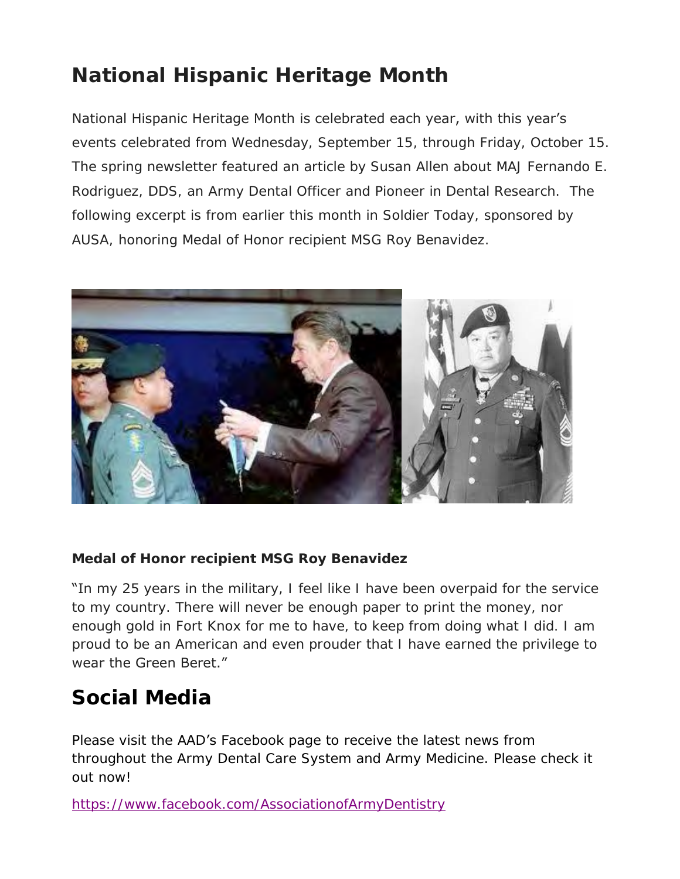## **National Hispanic Heritage Month**

#### National Hispanic Heritage Month is celebrated each year, with this year's

events celebrated from Wednesday, September 15, through Friday, October 15. The spring newsletter featured an article by Susan Allen about MAJ Fernando E. Rodriguez, DDS, an Army Dental Officer and Pioneer in Dental Research. The following excerpt is from earlier this month in Soldier Today, sponsored by AUSA, honoring Medal of Honor recipient MSG Roy Benavidez.



**Medal of Honor recipient MSG Roy Benavidez**

"In my 25 years in the military, I feel like I have been overpaid for the service to my country. There will never be enough paper to print the money, nor enough gold in Fort Knox for me to have, to keep from doing what I did. I am proud to be an American and even prouder that I have earned the privilege to wear the Green Beret."

#### **Social Media**

Please visit the AAD's Facebook page to receive the latest news from throughout the Army Dental Care System and Army Medicine. Please check it out now!

<https://www.facebook.com/AssociationofArmyDentistry>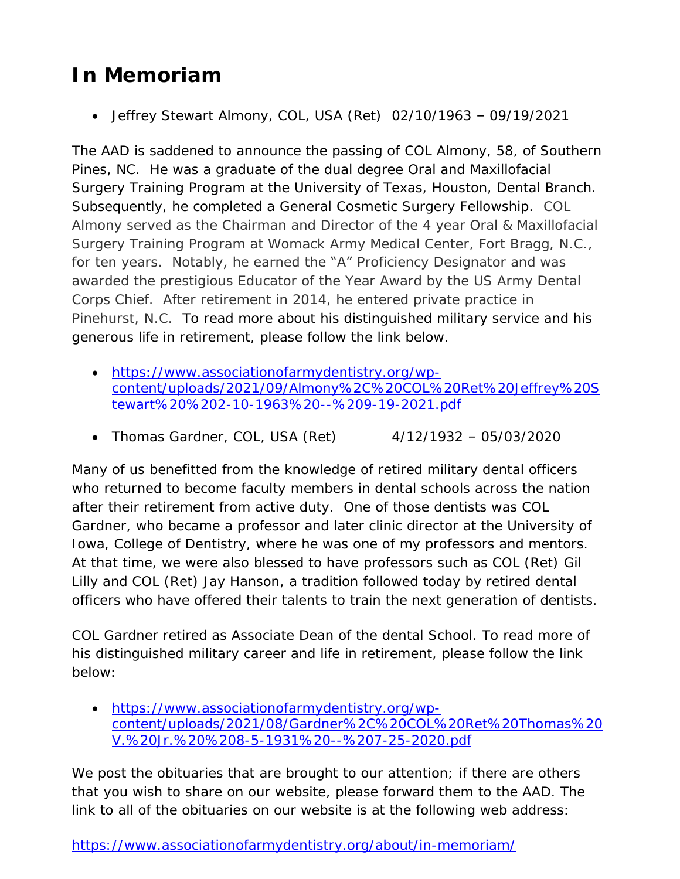### **In Memoriam**

Jeffrey Stewart Almony, COL, USA (Ret) 02/10/1963 – 09/19/2021

The AAD is saddened to announce the passing of COL Almony, 58, of Southern Pines, NC. He was a graduate of the dual degree Oral and Maxillofacial Surgery Training Program at the University of Texas, Houston, Dental Branch. Subsequently, he completed a General Cosmetic Surgery Fellowship. COL Almony served as the Chairman and Director of the 4 year Oral & Maxillofacial Surgery Training Program at Womack Army Medical Center, Fort Bragg, N.C., for ten years. Notably, he earned the "A" Proficiency Designator and was awarded the prestigious Educator of the Year Award by the US Army Dental Corps Chief. After retirement in 2014, he entered private practice in Pinehurst, N.C. To read more about his distinguished military service and his generous life in retirement, please follow the link below.

- [https://www.associationofarmydentistry.org/wp](https://www.associationofarmydentistry.org/wp-content/uploads/2021/09/Almony%2C%20COL%20Ret%20Jeffrey%20Stewart%20%202-10-1963%20--%209-19-2021.pdf)[content/uploads/2021/09/Almony%2C%20COL%20Ret%20Jeffrey%20S](https://www.associationofarmydentistry.org/wp-content/uploads/2021/09/Almony%2C%20COL%20Ret%20Jeffrey%20Stewart%20%202-10-1963%20--%209-19-2021.pdf) [tewart%20%202-10-1963%20--%209-19-2021.pdf](https://www.associationofarmydentistry.org/wp-content/uploads/2021/09/Almony%2C%20COL%20Ret%20Jeffrey%20Stewart%20%202-10-1963%20--%209-19-2021.pdf)
- Thomas Gardner, COL, USA (Ret) 4/12/1932 05/03/2020

Many of us benefitted from the knowledge of retired military dental officers who returned to become faculty members in dental schools across the nation after their retirement from active duty. One of those dentists was COL Gardner, who became a professor and later clinic director at the University of Iowa, College of Dentistry, where he was one of my professors and mentors. At that time, we were also blessed to have professors such as COL (Ret) Gil Lilly and COL (Ret) Jay Hanson, a tradition followed today by retired dental officers who have offered their talents to train the next generation of dentists.

COL Gardner retired as Associate Dean of the dental School. To read more of his distinguished military career and life in retirement, please follow the link below:

 [https://www.associationofarmydentistry.org/wp](https://www.associationofarmydentistry.org/wp-content/uploads/2021/08/Gardner%2C%20COL%20Ret%20Thomas%20V.%20Jr.%20%208-5-1931%20--%207-25-2020.pdf)[content/uploads/2021/08/Gardner%2C%20COL%20Ret%20Thomas%20](https://www.associationofarmydentistry.org/wp-content/uploads/2021/08/Gardner%2C%20COL%20Ret%20Thomas%20V.%20Jr.%20%208-5-1931%20--%207-25-2020.pdf) [V.%20Jr.%20%208-5-1931%20--%207-25-2020.pdf](https://www.associationofarmydentistry.org/wp-content/uploads/2021/08/Gardner%2C%20COL%20Ret%20Thomas%20V.%20Jr.%20%208-5-1931%20--%207-25-2020.pdf) 

We post the obituaries that are brought to our attention; if there are others that you wish to share on our website, please forward them to the AAD. The link to all of the obituaries on our website is at the following web address:

<https://www.associationofarmydentistry.org/about/in-memoriam/>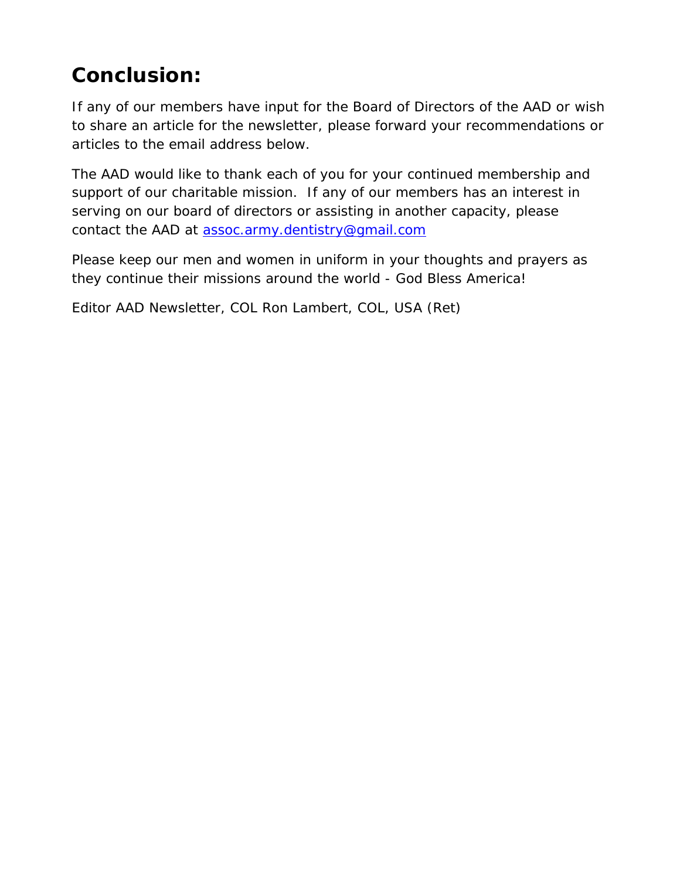### **Conclusion:**

If any of our members have input for the Board of Directors of the AAD or wish to share an article for the newsletter, please forward your recommendations or articles to the email address below.

The AAD would like to thank each of you for your continued membership and support of our charitable mission. If any of our members has an interest in serving on our board of directors or assisting in another capacity, please contact the AAD at [assoc.army.dentistry@gmail.com](mailto:assoc.army.dentistry@gmail.com)

Please keep our men and women in uniform in your thoughts and prayers as they continue their missions around the world - God Bless America!

Editor AAD Newsletter, COL Ron Lambert, COL, USA (Ret)